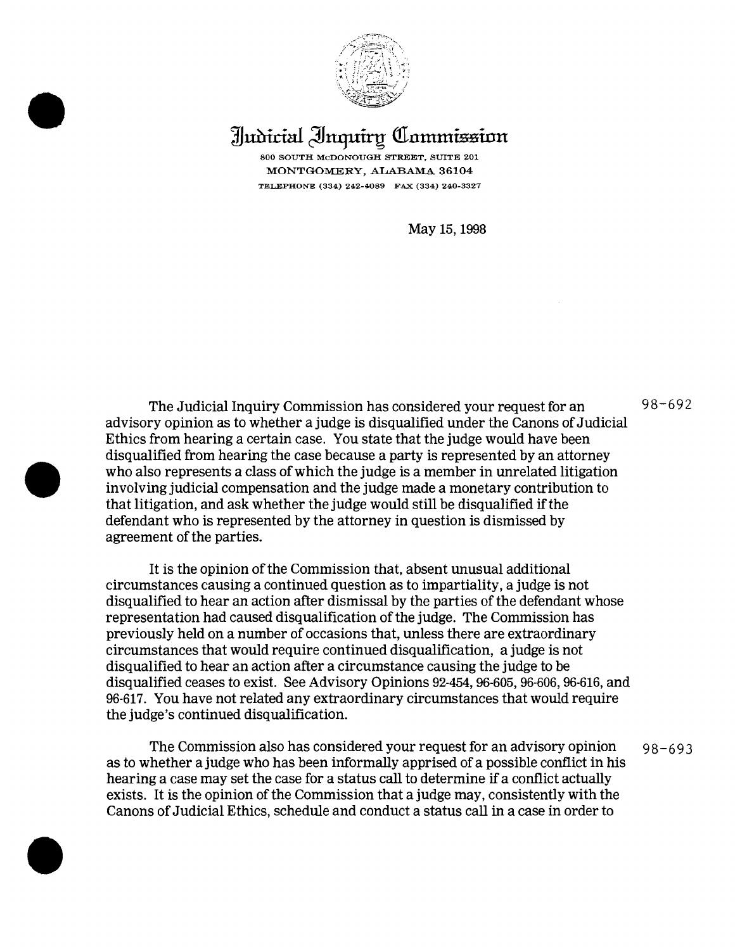

## **Judicial Inquiry Commission**

MONTGOMERY, ALABAMA 36104 TELEPHONE (334) 242-4089 FAX (334) 240-3327

May 15, 1998

The Judicial Inquiry Commission has considered your request for an  $98-692$ advisory opinion as to whether a judge is disqualified under the Canons ofJudicial Ethics from hearing a certain case. You state that the judge would have been disqualified from hearing the case because a party is represented by an attorney who also represents a class of which the judge is a member in unrelated litigation involving judicial compensation and the judge made a monetary contribution to that litigation, and ask whether the judge would still be disqualified if the defendant who is represented by the attorney in question is dismissed by agreement of the parties.

•

It is the opinion of the Commission that, absent unusual additional circumstances causing a continued question as to impartiality, a judge is not disqualified to hear an action after dismissal by the parties of the defendant whose representation had caused disqualification ofthe judge. The Commission has previously held on a number of occasions that, unless there are extraordinary circumstances that would require continued disqualification, a judge is not disqualified to hear an action after a circumstance causing the judge to be disqualified ceases to exist. See Advisory Opinions 92-454, 96-605, 96-606, 96-616, and 96·617. You have not related any extraordinary circumstances that would require the judge's continued disqualification.

The Commission also has considered your request for an advisory opinion  $98-693$ as to whether a judge who has been informally apprised of a possible conflict in his hearing a case may set the case for a status call to determine if a conflict actually exists. It is the opinion of the Commission that a judge may, consistently with the Canons of Judicial Ethics, schedule and conduct a status call in a case in order to